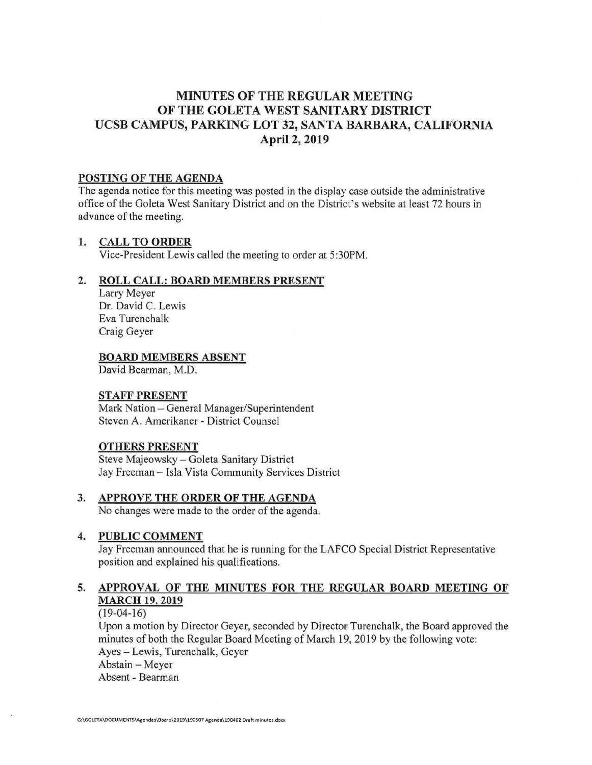# **MINUTES OF THE REGULAR MEETING OF THE GOLETA WEST SANITARY DISTRICT UCSB CAMPUS, PARKING LOT 32, SANTA BARBARA, CALIFORNIA April 2, 2019**

### **POSTING OF THE AGENDA**

The agenda notice for this meeting was posted **in** the display case outside the administrative office of the Goleta West Sanitary District and on the District's website at least 72 hours in advance of the meeting.

### **1. CALL TO ORDER**

Vice-President Lewis called the meeting to order at 5:30PM.

### **2. ROLL CALL: BOARD MEMBERS PRESENT**

Larry Meyer Dr. David C. Lewis Eva Turenchalk Craig Geyer

### **BOARD MEMBERS ABSENT**

David Bearman, M.D.

### **STAFF PRESENT**

Mark Nation - General Manager/Superintendent Steven A. Amerikaner - District Counsel

### **OTHERS PRESENT**

Steve Majeowsky - Goleta Sanitary District Jay Freeman - Isla Vista Community Services District

## **3. APPROVE THE ORDER OF THE AGENDA**

No changes were made to the order of the agenda.

### **4. PUBLIC COMMENT**

Jay Freeman announced that he is running for the LAFCO Special District Representative position and explained his qualifications.

## **5. APPROVAL OF THE MINUTES FOR THE REGULAR BOARD MEETING OF MARCH 19, 2019**

 $(19-04-16)$ 

Upon a motion by Director Geyer, seconded by Director Turenchalk , the Board approved the minutes of both the Regular Board Meeting of March 19, 2019 by the following vote: Ayes - Lewis, Turenchalk, Geyer Abstain - Meyer Absent - Bearman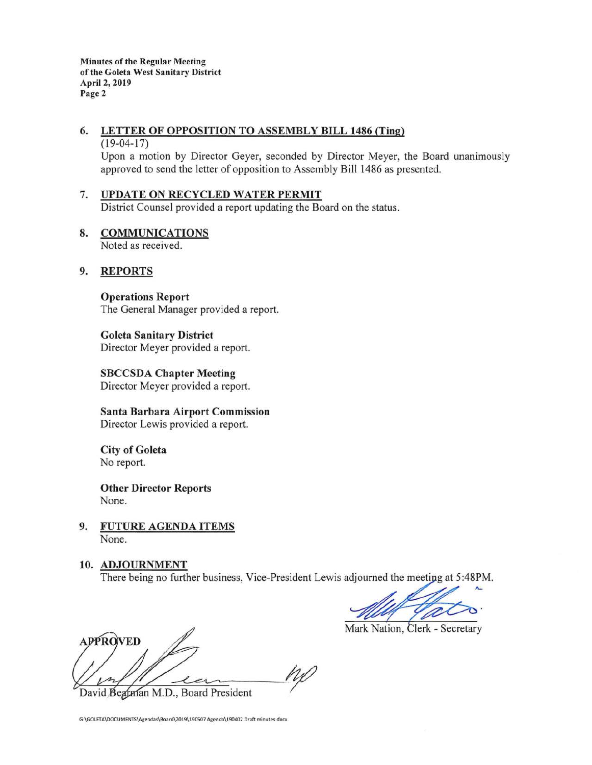**Minutes of the Regular Meeting of the Goleta West Sanitary District April 2, 2019 Page 2** 

## **6. LETTER OF OPPOSITION TO ASSEMBLY BILL 1486 {Ting)**

#### $(19-04-17)$

Upon a motion by Director Geyer, seconded by Director Meyer, the Board unanimously approved to send the letter of opposition to Assembly Bill 1486 as presented .

## 7. **UPDATE ON RECYCLED WATER PERMIT**

District Counsel provided a report updating the Board on the status.

#### **8. COMMUNICATIONS**  Noted as received.

### **9. REPORTS**

**Operations Report**  The General Manager provided a report.

**Goleta Sanitary District**  Director Meyer provided a report.

**SBCCSDA Chapter Meeting**  Director Meyer provided a report.

**Santa Barbara Airport Commission**  Director Lewis provided a report.

**City of Goleta**  No report.

**Other Director Reports**  None.

**9. FUTURE AGENDA ITEMS**  None.

#### **10. ADJOURNMENT**

There being no further business, Vice-President Lewis adjourned the meeting at 5:48PM

Mark Nation, Clerk - Secretary

**APPROVED** ns

David Begrman M.D., Board President

G:\GOLETA\DOCUMENTS\Agendas\Board\2019\190507 Agenda\190402 Draft minutes.docx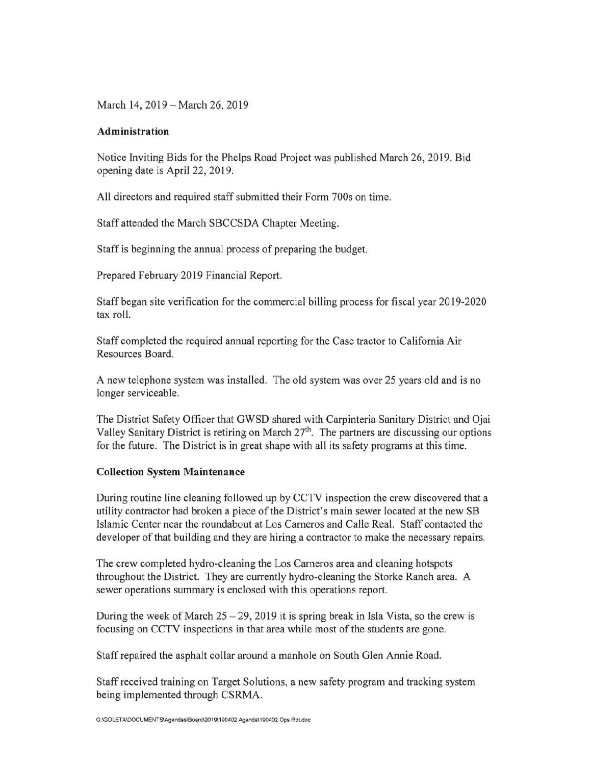March 14, 2019 - March 26, 2019

### **Administration**

Notice Inviting Bids for the Phelps Road Project was published March 26, 2019. Bid opening date is April 22, 2019.

All directors and required staff submitted their Form 700s on time.

Staff attended the March SBCCSDA Chapter Meeting.

Staff is beginning the annual process of preparing the budget.

Prepared February 2019 Financial Report.

Staff began site verification for the commercial billing process for fiscal year 2019-2020 tax roll.

Staff completed the required annual reporting for the Case tractor to California Air Resources Board.

A new telephone system was installed. The old system was over 25 years old and is no longer serviceable.

The District Safety Officer that GWSD shared with Carpinteria Sanitary District and Ojai Valley Sanitary District is retiring on March 27<sup>th</sup>. The partners are discussing our options for the future. The District is in great shape with all its safety programs at this time.

### **Collection System Maintenance**

During routine line cleaning followed up by CCTV inspection the crew discovered that a utility contractor had broken a piece of the District's main sewer located at the new SB Islamic Center near the roundabout at Los Carneros and Calle Real. Staff contacted the developer of that building and they are hiring a contractor to make the necessary repairs.

The crew completed hydro-cleaning the Los Carneros area and cleaning hotspots throughout the District. They are currently hydro-cleaning the Storke Ranch area. A sewer operations summary is enclosed with this operations report.

During the week of March  $25 - 29$ , 2019 it is spring break in Isla Vista, so the crew is focusing on CCTV inspections in that area while most of the students are gone.

Staff repaired the asphalt collar around a manhole on South Glen Annie Road.

Staff received training on Target Solutions, a new safety program and tracking system being implemented through CSRMA.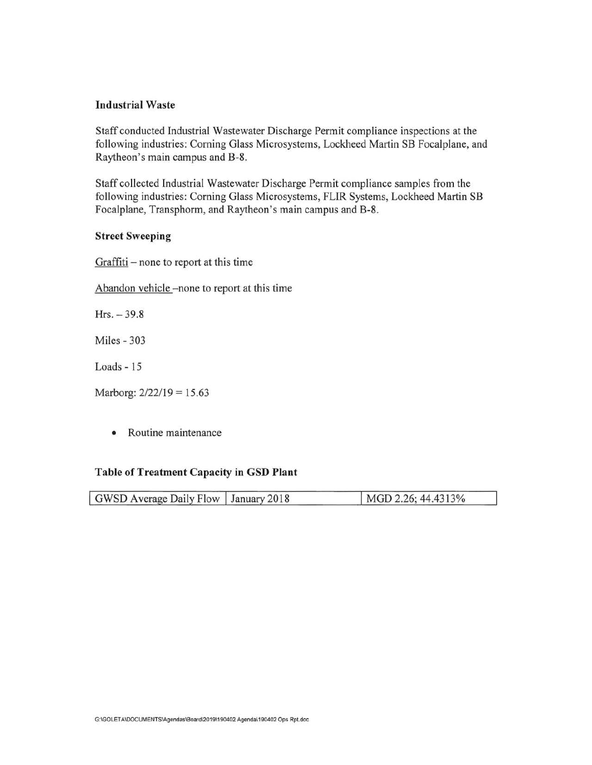### **Industrial Waste**

Staff conducted Industrial Wastewater Discharge Permit compliance inspections at the following industries: Corning Glass Microsystems, Lockheed Martin SB Focalplane, and Raytheon's main campus and B-8.

Staff collected Industrial Wastewater Discharge Permit compliance samples from the following industries: Corning Glass Microsystems, FLIR Systems, Lockheed Martin SB Focalplane, Transphorm, and Raytheon's main campus and B-8.

#### **Street Sweeping**

Graffiti - none to report at this time

Abandon vehicle -none to report at this time

 $Hrs. - 39.8$ 

Miles - 303

Loads - 15

Marborg: 2/22/19 = 15.63

• Routine maintenance

#### **Table of Treatment Capacity in GSD Plant**

| GWSD Average Daily Flow   January 2018 | MGD 2.26; 44.4313% |
|----------------------------------------|--------------------|
|                                        |                    |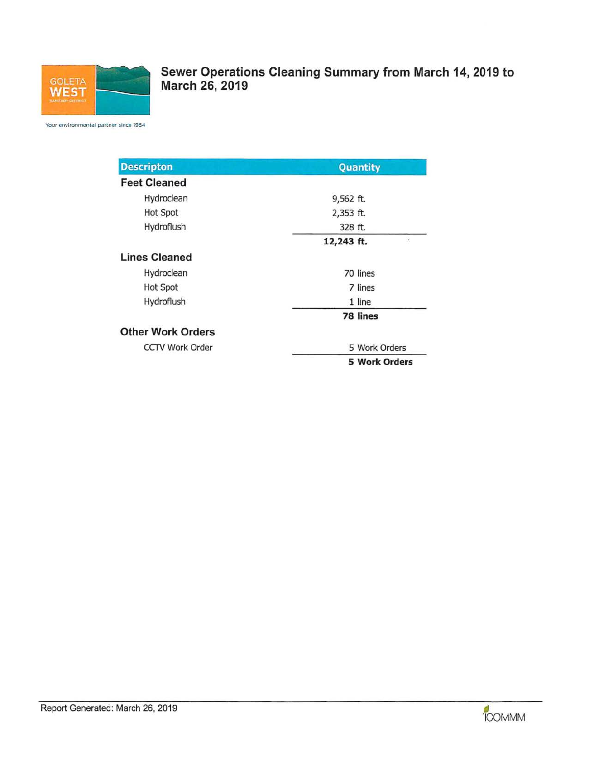

**Sewer Operations Cleaning Summary from March 14, 2019 to March 26, 2019** 

Your environmental partner since 1954

| <b>Descripton</b>        | Quantity             |  |  |
|--------------------------|----------------------|--|--|
| <b>Feet Cleaned</b>      |                      |  |  |
| Hydroclean               | 9,562 ft.            |  |  |
| <b>Hot Spot</b>          | 2,353 ft.            |  |  |
| Hydroflush               | 328 ft.              |  |  |
|                          | 12,243 ft.<br>×      |  |  |
| <b>Lines Cleaned</b>     |                      |  |  |
| Hydroclean               | 70 lines             |  |  |
| <b>Hot Spot</b>          | 7 lines              |  |  |
| Hydroflush               | 1 line               |  |  |
|                          | 78 lines             |  |  |
| <b>Other Work Orders</b> |                      |  |  |
| <b>CCTV Work Order</b>   | 5 Work Orders        |  |  |
|                          | <b>5 Work Orders</b> |  |  |